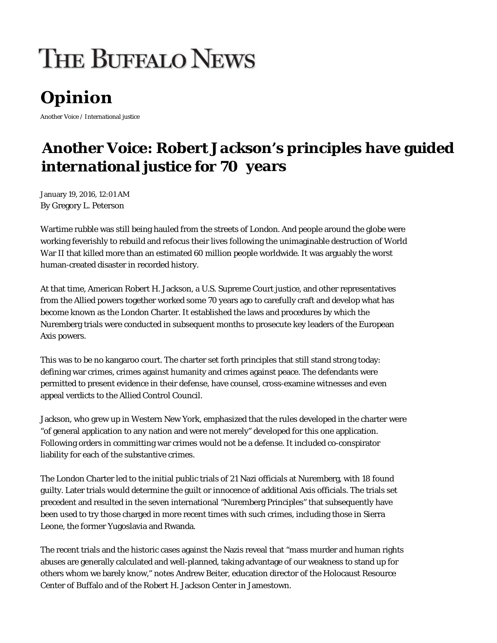## **THE BUFFALO NEWS**

## Opinion

Another Voice / International justice

## **Another Voice: Robert Jackson's principles have guided international justice for 70 years**

January 19, 2016, 12:01 AM By Gregory L. Peterson

Wartime rubble was still being hauled from the streets of London. And people around the globe were working feverishly to rebuild and refocus their lives following the unimaginable destruction of World War II that killed more than an estimated 60 million people worldwide. It was arguably the worst human-created disaster in recorded history.

At that time, American Robert H. Jackson, a U.S. Supreme Court justice, and other representatives from the Allied powers together worked some 70 years ago to carefully craft and develop what has become known as the London Charter. It established the laws and procedures by which the Nuremberg trials were conducted in subsequent months to prosecute key leaders of the European Axis powers.

This was to be no kangaroo court. The charter set forth principles that still stand strong today: defining war crimes, crimes against humanity and crimes against peace. The defendants were permitted to present evidence in their defense, have counsel, cross-examine witnesses and even appeal verdicts to the Allied Control Council.

Jackson, who grew up in Western New York, emphasized that the rules developed in the charter were "of general application to any nation and were not merely" developed for this one application. Following orders in committing war crimes would not be a defense. It included co-conspirator liability for each of the substantive crimes.

The London Charter led to the initial public trials of 21 Nazi officials at Nuremberg, with 18 found guilty. Later trials would determine the guilt or innocence of additional Axis officials. The trials set precedent and resulted in the seven international "Nuremberg Principles" that subsequently have been used to try those charged in more recent times with such crimes, including those in Sierra Leone, the former Yugoslavia and Rwanda.

The recent trials and the historic cases against the Nazis reveal that "mass murder and human rights abuses are generally calculated and well-planned, taking advantage of our weakness to stand up for others whom we barely know," notes Andrew Beiter, education director of the Holocaust Resource Center of Buffalo and of the Robert H. Jackson Center in Jamestown.